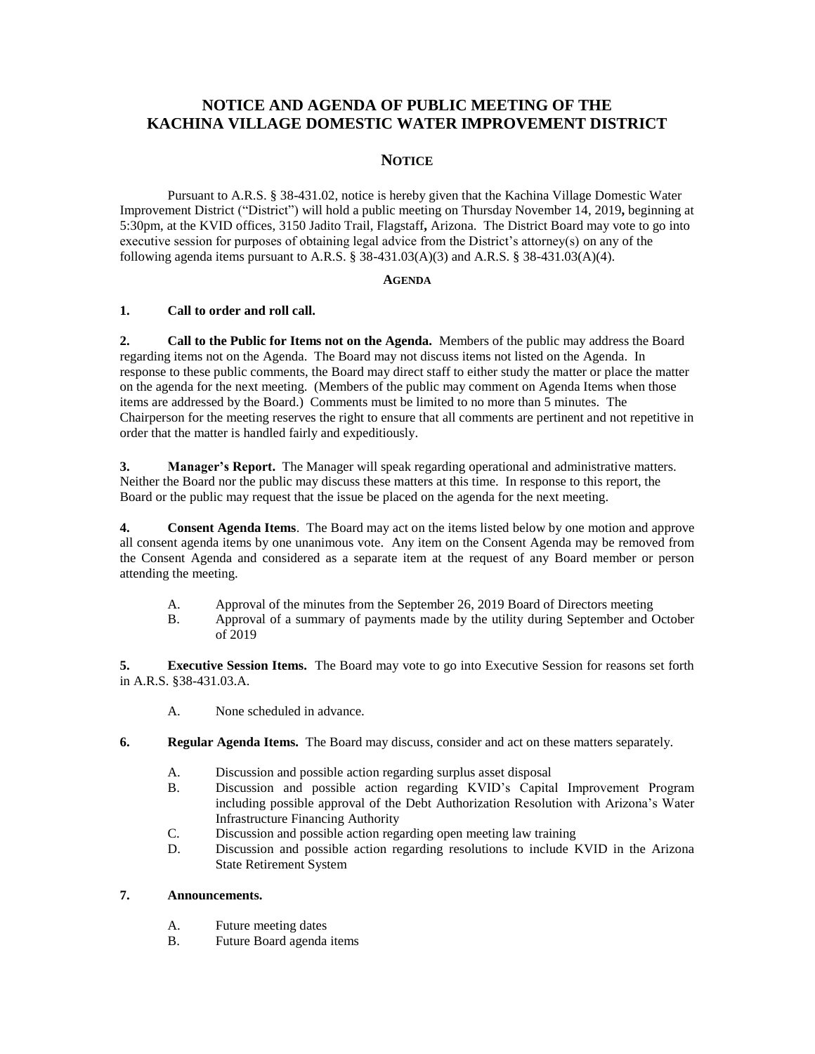# **NOTICE AND AGENDA OF PUBLIC MEETING OF THE KACHINA VILLAGE DOMESTIC WATER IMPROVEMENT DISTRICT**

# **NOTICE**

Pursuant to A.R.S. § 38-431.02, notice is hereby given that the Kachina Village Domestic Water Improvement District ("District") will hold a public meeting on Thursday November 14, 2019**,** beginning at 5:30pm, at the KVID offices, 3150 Jadito Trail, Flagstaff**,** Arizona. The District Board may vote to go into executive session for purposes of obtaining legal advice from the District's attorney(s) on any of the following agenda items pursuant to A.R.S. § 38-431.03(A)(3) and A.R.S. § 38-431.03(A)(4).

#### **AGENDA**

### **1. Call to order and roll call.**

**2. Call to the Public for Items not on the Agenda.** Members of the public may address the Board regarding items not on the Agenda. The Board may not discuss items not listed on the Agenda. In response to these public comments, the Board may direct staff to either study the matter or place the matter on the agenda for the next meeting. (Members of the public may comment on Agenda Items when those items are addressed by the Board.) Comments must be limited to no more than 5 minutes. The Chairperson for the meeting reserves the right to ensure that all comments are pertinent and not repetitive in order that the matter is handled fairly and expeditiously.

**3. Manager's Report.** The Manager will speak regarding operational and administrative matters. Neither the Board nor the public may discuss these matters at this time. In response to this report, the Board or the public may request that the issue be placed on the agenda for the next meeting.

**4. Consent Agenda Items**. The Board may act on the items listed below by one motion and approve all consent agenda items by one unanimous vote. Any item on the Consent Agenda may be removed from the Consent Agenda and considered as a separate item at the request of any Board member or person attending the meeting.

- A. Approval of the minutes from the September 26, 2019 Board of Directors meeting
- B. Approval of a summary of payments made by the utility during September and October of 2019

**5. Executive Session Items.** The Board may vote to go into Executive Session for reasons set forth in A.R.S. §38-431.03.A.

A. None scheduled in advance.

- **6. Regular Agenda Items.** The Board may discuss, consider and act on these matters separately.
	- A. Discussion and possible action regarding surplus asset disposal
	- B. Discussion and possible action regarding KVID's Capital Improvement Program including possible approval of the Debt Authorization Resolution with Arizona's Water Infrastructure Financing Authority
	- C. Discussion and possible action regarding open meeting law training
	- D. Discussion and possible action regarding resolutions to include KVID in the Arizona State Retirement System

## **7. Announcements.**

- A. Future meeting dates
- B. Future Board agenda items